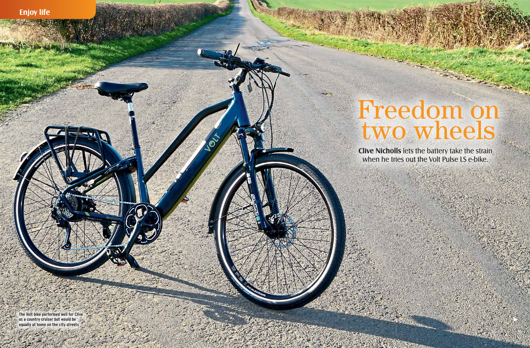## **Clive Nicholls** lets the battery take the strain Freedom on two wheels

**The Volt bike performed well for Clive as a country cruiser but would be equally at home on the city streets**

SO

when he tries out the Volt Pulse LS e-bike.